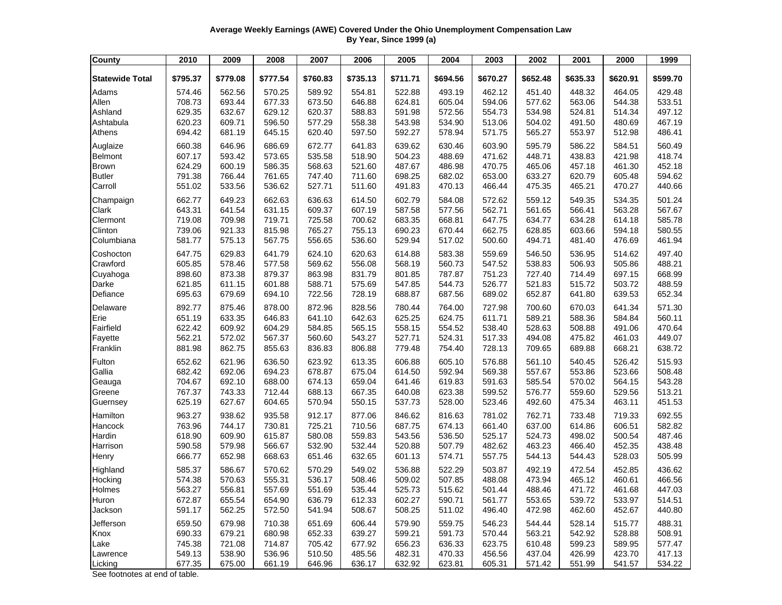## **Average Weekly Earnings (AWE) Covered Under the Ohio Unemployment Compensation Law By Year, Since 1999 (a)**

| <b>County</b>          | 2010     | 2009     | 2008     | 2007     | 2006     | 2005     | 2004     | 2003     | 2002     | 2001     | 2000     | 1999     |
|------------------------|----------|----------|----------|----------|----------|----------|----------|----------|----------|----------|----------|----------|
| <b>Statewide Total</b> | \$795.37 | \$779.08 | \$777.54 | \$760.83 | \$735.13 | \$711.71 | \$694.56 | \$670.27 | \$652.48 | \$635.33 | \$620.91 | \$599.70 |
| Adams                  | 574.46   | 562.56   | 570.25   | 589.92   | 554.81   | 522.88   | 493.19   | 462.12   | 451.40   | 448.32   | 464.05   | 429.48   |
| Allen                  | 708.73   | 693.44   | 677.33   | 673.50   | 646.88   | 624.81   | 605.04   | 594.06   | 577.62   | 563.06   | 544.38   | 533.51   |
| Ashland                | 629.35   | 632.67   | 629.12   | 620.37   | 588.83   | 591.98   | 572.56   | 554.73   | 534.98   | 524.81   | 514.34   | 497.12   |
| Ashtabula              | 620.23   | 609.71   | 596.50   | 577.29   | 558.38   | 543.98   | 534.90   | 513.06   | 504.02   | 491.50   | 480.69   | 467.19   |
| Athens                 | 694.42   | 681.19   | 645.15   | 620.40   | 597.50   | 592.27   | 578.94   | 571.75   | 565.27   | 553.97   | 512.98   | 486.41   |
| Auglaize               | 660.38   | 646.96   | 686.69   | 672.77   | 641.83   | 639.62   | 630.46   | 603.90   | 595.79   | 586.22   | 584.51   | 560.49   |
| <b>Belmont</b>         | 607.17   | 593.42   | 573.65   | 535.58   | 518.90   | 504.23   | 488.69   | 471.62   | 448.71   | 438.83   | 421.98   | 418.74   |
| <b>Brown</b>           | 624.29   | 600.19   | 586.35   | 568.63   | 521.60   | 487.67   | 486.98   | 470.75   | 465.06   | 457.18   | 461.30   | 452.18   |
| <b>Butler</b>          | 791.38   | 766.44   | 761.65   | 747.40   | 711.60   | 698.25   | 682.02   | 653.00   | 633.27   | 620.79   | 605.48   | 594.62   |
| Carroll                | 551.02   | 533.56   | 536.62   | 527.71   | 511.60   | 491.83   | 470.13   | 466.44   | 475.35   | 465.21   | 470.27   | 440.66   |
| Champaign              | 662.77   | 649.23   | 662.63   | 636.63   | 614.50   | 602.79   | 584.08   | 572.62   | 559.12   | 549.35   | 534.35   | 501.24   |
| Clark                  | 643.31   | 641.54   | 631.15   | 609.37   | 607.19   | 587.58   | 577.56   | 562.71   | 561.65   | 566.41   | 563.28   | 567.67   |
| Clermont               | 719.08   | 709.98   | 719.71   | 725.58   | 700.62   | 683.35   | 668.81   | 647.75   | 634.77   | 634.28   | 614.18   | 585.78   |
| Clinton                | 739.06   | 921.33   | 815.98   | 765.27   | 755.13   | 690.23   | 670.44   | 662.75   | 628.85   | 603.66   | 594.18   | 580.55   |
| Columbiana             | 581.77   | 575.13   | 567.75   | 556.65   | 536.60   | 529.94   | 517.02   | 500.60   | 494.71   | 481.40   | 476.69   | 461.94   |
| Coshocton              | 647.75   | 629.83   | 641.79   | 624.10   | 620.63   | 614.88   | 583.38   | 559.69   | 546.50   | 536.95   | 514.62   | 497.40   |
| Crawford               | 605.85   | 578.46   | 577.58   | 569.62   | 556.08   | 568.19   | 560.73   | 547.52   | 538.83   | 506.93   | 505.86   | 488.21   |
| Cuyahoga               | 898.60   | 873.38   | 879.37   | 863.98   | 831.79   | 801.85   | 787.87   | 751.23   | 727.40   | 714.49   | 697.15   | 668.99   |
| Darke                  | 621.85   | 611.15   | 601.88   | 588.71   | 575.69   | 547.85   | 544.73   | 526.77   | 521.83   | 515.72   | 503.72   | 488.59   |
| Defiance               | 695.63   | 679.69   | 694.10   | 722.56   | 728.19   | 688.87   | 687.56   | 689.02   | 652.87   | 641.80   | 639.53   | 652.34   |
| Delaware               | 892.77   | 875.46   | 878.00   | 872.96   | 828.56   | 780.44   | 764.00   | 727.98   | 700.60   | 670.03   | 641.34   | 571.30   |
| Erie                   | 651.19   | 633.35   | 646.83   | 641.10   | 642.63   | 625.25   | 624.75   | 611.71   | 589.21   | 588.36   | 584.84   | 560.11   |
| Fairfield              | 622.42   | 609.92   | 604.29   | 584.85   | 565.15   | 558.15   | 554.52   | 538.40   | 528.63   | 508.88   | 491.06   | 470.64   |
| Fayette                | 562.21   | 572.02   | 567.37   | 560.60   | 543.27   | 527.71   | 524.31   | 517.33   | 494.08   | 475.82   | 461.03   | 449.07   |
| Franklin               | 881.98   | 862.75   | 855.63   | 836.83   | 806.88   | 779.48   | 754.40   | 728.13   | 709.65   | 689.88   | 668.21   | 638.72   |
| Fulton                 | 652.62   | 621.96   | 636.50   | 623.92   | 613.35   | 606.88   | 605.10   | 576.88   | 561.10   | 540.45   | 526.42   | 515.93   |
| Gallia                 | 682.42   | 692.06   | 694.23   | 678.87   | 675.04   | 614.50   | 592.94   | 569.38   | 557.67   | 553.86   | 523.66   | 508.48   |
| Geauga                 | 704.67   | 692.10   | 688.00   | 674.13   | 659.04   | 641.46   | 619.83   | 591.63   | 585.54   | 570.02   | 564.15   | 543.28   |
| Greene                 | 767.37   | 743.33   | 712.44   | 688.13   | 667.35   | 640.08   | 623.38   | 599.52   | 576.77   | 559.60   | 529.56   | 513.21   |
| Guernsey               | 625.19   | 627.67   | 604.65   | 570.94   | 550.15   | 537.73   | 528.00   | 523.46   | 492.60   | 475.34   | 463.11   | 451.53   |
| Hamilton               | 963.27   | 938.62   | 935.58   | 912.17   | 877.06   | 846.62   | 816.63   | 781.02   | 762.71   | 733.48   | 719.33   | 692.55   |
| Hancock                | 763.96   | 744.17   | 730.81   | 725.21   | 710.56   | 687.75   | 674.13   | 661.40   | 637.00   | 614.86   | 606.51   | 582.82   |
| Hardin                 | 618.90   | 609.90   | 615.87   | 580.08   | 559.83   | 543.56   | 536.50   | 525.17   | 524.73   | 498.02   | 500.54   | 487.46   |
| Harrison               | 590.58   | 579.98   | 566.67   | 532.90   | 532.44   | 520.88   | 507.79   | 482.62   | 463.23   | 466.40   | 452.35   | 438.48   |
| Henry                  | 666.77   | 652.98   | 668.63   | 651.46   | 632.65   | 601.13   | 574.71   | 557.75   | 544.13   | 544.43   | 528.03   | 505.99   |
| Highland               | 585.37   | 586.67   | 570.62   | 570.29   | 549.02   | 536.88   | 522.29   | 503.87   | 492.19   | 472.54   | 452.85   | 436.62   |
| Hocking                | 574.38   | 570.63   | 555.31   | 536.17   | 508.46   | 509.02   | 507.85   | 488.08   | 473.94   | 465.12   | 460.61   | 466.56   |
| Holmes                 | 563.27   | 556.81   | 557.69   | 551.69   | 535.44   | 525.73   | 515.62   | 501.44   | 488.46   | 471.72   | 461.68   | 447.03   |
| Huron                  | 672.87   | 655.54   | 654.90   | 636.79   | 612.33   | 602.27   | 590.71   | 561.77   | 553.65   | 539.72   | 533.97   | 514.51   |
| Jackson                | 591.17   | 562.25   | 572.50   | 541.94   | 508.67   | 508.25   | 511.02   | 496.40   | 472.98   | 462.60   | 452.67   | 440.80   |
| Jefferson              | 659.50   | 679.98   | 710.38   | 651.69   | 606.44   | 579.90   | 559.75   | 546.23   | 544.44   | 528.14   | 515.77   | 488.31   |
| Knox                   | 690.33   | 679.21   | 680.98   | 652.33   | 639.27   | 599.21   | 591.73   | 570.44   | 563.21   | 542.92   | 528.88   | 508.91   |
| Lake                   | 745.38   | 721.08   | 714.87   | 705.42   | 677.92   | 656.23   | 636.33   | 623.75   | 610.48   | 599.23   | 589.95   | 577.47   |
| Lawrence               | 549.13   | 538.90   | 536.96   | 510.50   | 485.56   | 482.31   | 470.33   | 456.56   | 437.04   | 426.99   | 423.70   | 417.13   |
| Licking                | 677.35   | 675.00   | 661.19   | 646.96   | 636.17   | 632.92   | 623.81   | 605.31   | 571.42   | 551.99   | 541.57   | 534.22   |

See footnotes at end of table.